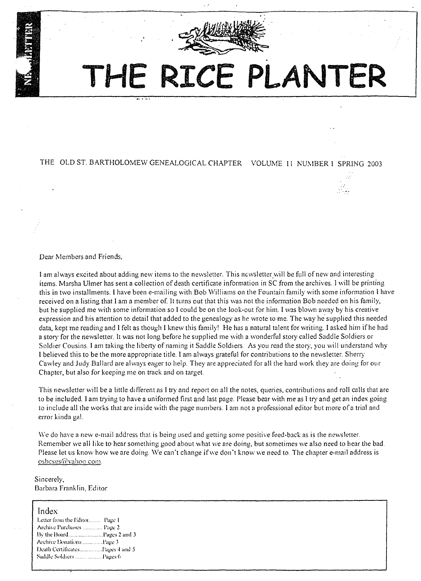

# **THE RICE PLANTER**

# THE OLD ST. BARTHOLOMEW GENEALOGICAL CHAPTER VOLUME 11 NUMBER 1 SPRING 2003

## Dear Members and Friends,

I am always excited about adding new items to the newsletter. This newsletter will be full of new and interesting items. Marsha Ulmer has sent a collection of death certificate information in SC from the archives. I will be printing this in two installments. I have been e-mailing with Bob Williams on the Fountain family with some information I have received on a listing that I am a member of. It turns out that this was not the information Bob needed on his family, but he supplied me with some information so I could be on the look-out for him. I was blown away by his creative expression and his attention to detail that added to the genealogy as he wrote to me. The way he' supplied this needed data, kept me reading and I felt as though I knew this family' He has a natural talent for writing. I asked him if he had a story for the newsletter. It was not long before he supplied me with a wonderful story called Saddle Soldiers or Soldier Cousins. I am taking the liberty of naming it Saddle Soldiers. As you read the story, you will understand why I believed this to be the more appropriate title. I am always grateful for contributions to the newsletter. Sherry Cawley and Judy Ballard are always eager to help. They are appreciated for all the hard work they are doing for our Chapter, but also for keeping me on track and on target.

This newsletter will be a little different as I try and report on all the notes. queries, contributions and roll calls that are to be included. 1 am trying to have a uniformed first and last page. Please bear with me as 1 try and get an index going to include all the works that are inside with the page numbers. I am not a professional editor but more of a trial and error kinda gal.

We do have a new e-mail address that is being used and getting some positive feed-back as is the newsletter. Remember we all like to hear something good about what we are doing. but sometimes we also need to hear the bad. Please let us know how we are doing. We can't change if we don't know we need to. The chapter e-mail address is osbcsgs@vahoo.com.

## Sincerely, Barbara Franklin. Editor

| Index                           |  |
|---------------------------------|--|
| Letter from the Editor Page 1   |  |
| Archive Purchases  Page 2       |  |
| By the BoardPages 2 and 3       |  |
| Archive DonationsPage 3         |  |
| Death CertificatesPages 4 and 5 |  |
| Saddle Soldiers Pages 6         |  |
|                                 |  |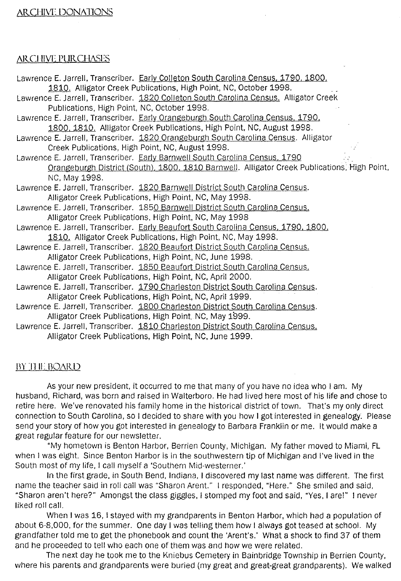# **ARCHIVE DONATIONS**

## ARCHIVE PURCHASES

- Lawrence E. Jarrell, Transcriber. Early Colleton South Carolina Census, 1790. 1800, 1810. Alligator Creek Publications, High Point, NC, October 1998.
- Lawrence E. Jarrell, Transcriber. 1820 Colleton South Carolina Census. Alligator Creek Publications, High Point, NC, October 1998.
- Lawrence E. Jarrell, Transcriber. Early Orangeburgh South Carolina Census, 1790. 1800, 1810. Alligator Creek Publications, High Point, NC, August 1998.
- Lawrence E. Jarrell, Transcriber. 1820 Orangeburgh South Carolina Census. Alligator Creek Publications, High Point, NC, August 1998.
- Lawrence E. Jarrell, Transcriber. Early Barnwell South Carolina Census, 1790 Orangeburgh District (South), 1800, 1810 Barnwell. Alligator Creek Publications, High Point, NC, May 1998.
- Lawrence E. Jarrell, Transcriber. 1820 Barnwell District South Carolina Census. Alligator Creek Publications, High Point, NC, May 1998.
- Lawrence E. Jarrell, Transcriber. 1850 Barnwell District South Carolina Census. Alligator Creek Publications, High Point, NC, May 1998
- Lawrence E. Jarrell, Transcriber. Early Beaufort South Carolina Census, 1790, 1800,
- 1810. Alligator Creek Publications, High Point, NC, May 1998.
- Lawrence E. Jarrell, Transcriber. 1820 Beaufort District South Carolina Census. Alligator Creek Publications, High Point, NC, June 1998.
- Lavvrence E. Jarrell, Transcriber. 1850 Beaufort District South Carolina Census.
- Alligator Creek Publications, High Point, NC, April 2000.
- Lawrence E. Jarrell, Transcriber. 1790 Charleston District South Carolina Census. Alligator Creek Publications, High Point, NC, April 1999.
- Lawrence E. Jarrell, Transcriber. 1800 Charleston District South Carolina Census. Alligator Creek Publications, High Point. NC, May 1999.
- Lawrence E. Jarrell, Transcriber. 1810 Charleston District South Carolina Census. Alligator Creek Publications, High Point, NC, June 1999.

## BY THE BOARD

As your new president, it occurred to me that many of you have no idea who I am. My husband, Richard, was born and raised in Walterboro. He had lived here most of his life and chose to retire here. We've renovated his family home in the historical district of town. That's my only direct connection to South Carolina, so I decided to share with you how I got interested in genealogy. Please send your story of how you got interested in genealogy to Barbara Franklin or me. It would make a great regular feature for our newsletter.

"My hometown is Benton Harbor, Berrien County, Michigan. My father moved to Miami, FL when I was eight. Since Benton Harbor is in the southwestern tip of Michigan and I've lived in the South most of my life, I call myself a 'Southern Mid-westerner.'

In the first grade, in South Bend, Indiana, ) discovered my last name was different. The first name the teacher said in roll call was "Sharon Arent." I responded, "Here." She smiled and said, "Sharon aren't here?" Amongst the class giggles, I stomped my foot and said, "Yes, I are!" I never liked roll call.

When I was 16, I stayed with my grandparents in Benton Harbor, which had a population of about 6-8,000, for the summer. One day I was telling them how I always got teased at school. My grandfather told me to get the phonebook and count the 'Arent's.' What a shock to find 37 of them and he proceeded to tell who each one of them was and how we were related.

The next day he took me to the Kniebus Cemetery in Bainbridge TownShip in Berrien County, where his parents and grandparents were buried (my great and great-great grandparents). We walked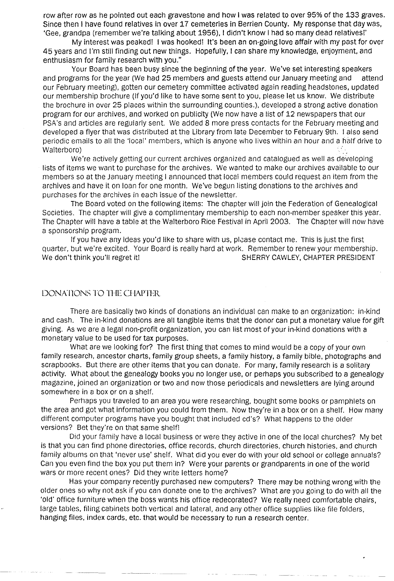row after row as he pointed out each gravestone and how I was related to over 95% of the 133 graves. Since then I have found relatives in over 17 cemeteries in Berrien County. My response that day was, 'Gee, grandpa (remember we're talking about 1956), I didn't know I had so many dead relatives!'

My interest was peaked! I was hooked! It's been an on-going love affair with my past for over 45 years and I'm still finding out new things. Hopefully, I can share my knowledge, enjoyment, and enthusiasm for family research with you."

Your Board has been busy since the beginning of the year. We've set interesting speakers and programs for the year (We had 25 members and guests attend our January meeting and attend our February meeting), gotten our cemetery committee activated again reading headstones, updated our membership brochure (If you'd like to have some sent to you, please let us know. We distribute the brochure in over 25 places within the surrounding counties.), developed a strong active donation program for our archives, and worked on publicity (We now have a list of 12 newspapers that our PSA's and articles are regularly sent. We added 8 more press contacts for the February meeting and developed a flyer that was distributed at the Library from late December to February 9th. I also send periodic emails to all the 'local' members, which is anyone who lives within an hour and a half drive to Walterboro)

We're actively getting our current archives organized and catalogued as well as developing lists of items we want to purchase for the archives. We wanted to make our archives available to our members so at the January meeting I announced that local members could request an item from the archives and have it on loan for one month. We've begun listing donations to the archives and purchases for the archives in each issue of the newsletter.

The Board voted on the following items: The chapter will join the Federation of Genealogical Societies. The chapter will give a complimentary membership to each non-member speaker this year. The Chapter will have a table at the Walterboro Rice Festival in April 2003. The Chapter will now have a sponsorship program.

If you have any ideas you'd like to share with us, please contact me. This is just the first quarter, but we're excited. Your Board is really hard at work. Remember to renew your membership.<br>We don't think you'll regret it! SHERRY CAWLEY, CHAPTER PRESIDENT

## DONATIONS TO THE CHAPTER

There are basically two kinds of donations an individual can make to an organization: in-kind and cash. The in-kind donations are all tangible items that the donor can put a monetary value for gift giving. As we are a legal non-profit organization, you can list most of your in-kind donations with a monetary value to be used for tax purposes.

What are we looking for? The first thing that comes to mind would be a copy of your own family research, ancestor charts, family group sheets, a family history, a family bible, photographs and scrapbooks. But there are other items that you can donate. For many, family research is a solitary activity. What about the genealogy books you no longer use, or perhaps you subscribed to a genealogy magazine, joined an organization or two and now those periodicals and newsletters are lying around somewhere in a box or on a shelf.

Perhaps you traveled to an area you were researching, bought some books or pamphlets on the area and got what information you could from them. Now they're in a box or on a shelf. How many different computer programs have you bought that included cd's? What happens to the older versions? Bet they're on that same shelf!

Did your family have a local business or were they active in one of the local churches? My bet is that you can find phone directories, office records, church directories, church histories, and church family albums on that 'never use' shelf. What did you ever do with your old school or college annuals? Can you even find the box you put them in? Were your parents or grandparents in one of the world wars or more recent ones? Did they write letters home?

Has your company recently purchased new computers? There may be nothing wrong with the older ones so why not ask if you can donate one to the archives? What are you going to do with all the 'old' office furniture when the boss wants his office redecorated? We really need comfortable chairs, large tables, filing cabinets both vertical and lateral, and any other office supplies like file folders, hanging files, index cards, etc. that would be necessary to run a research center.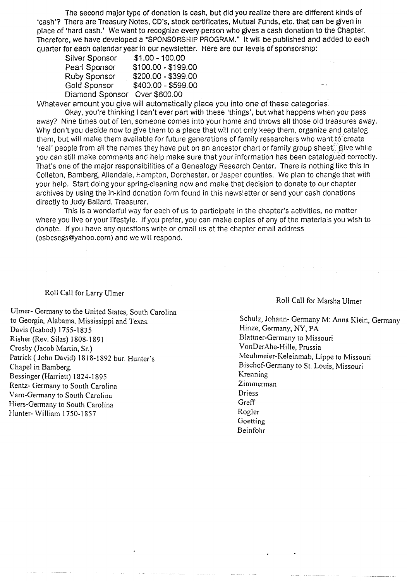The second major type of donation is cash, but did you realize there are different kinds of 'cash'? There are Treasury Notes, CD's, stock certificates, Mutual Funds, etc. that can be given in place of 'hard cash.' We want to recognize every person who gives a cash donation to the Chapter. Therefore, we have developed a "SPONSORSHIP PROGRAM." It will be published and added to each quarter for each calendar year in our newsletter. Here are our (evels of sponsorship:

| Silver Sponsor  | $$1.00 - 100.00$    |          |
|-----------------|---------------------|----------|
| Pearl Sponsor   | \$100.00 - \$199.00 |          |
| Ruby Sponsor    | \$200.00 - \$399.00 |          |
| Gold Sponsor    | \$400.00 - \$599.00 | $\sim$ . |
| Diamond Sponsor | Over \$600.00       |          |
|                 |                     |          |

Whatever amount you give will automatically place you into one of these categories.

Okay, you're thinking I can't ever part with these 'things', but what happens when you pass away? Nine times out of ten, someone comes into your home and throws all those old treasures away. Why don't you decide now to give them to a place that will not only keep them, organize and catalog them, but will make them available for future generations of family researchers who want to create 'real' people from all the names they have put on an ancestor chart or family group sheet. Give while you can still make comments and help make sure that your information has been catalogued correctly. That's one of the major responsibilities of a Genealogy Research Center. There is nothing like this in Colleton, Bamberg, Allendale, Hampton, Dorchester, or Jasper counties. We plan to change that with your help. Start doing your spring-cleaning now and make that decision to donate to our chapter archives by using the in-kind donation form found in this newsletter or send your cash donations directly to Judy Ballard, Treasurer.

This is a wonderful way for each of us to participate in the chapter's activities, no matter where you live or your lifestyle. If you prefer, you can make copies of any of the materials you wish to donate. (f you have any questions write or email us at the chapter email address (osbcscgs@yahoo.com) and we will respond.

## Roll Call for Larry Ulmer

Ulmer- Germany to the United States, South Carolina to Georgia, Alabama, Mississippi and Texas. Davis (Icabod) 1755-1835 Risher (Rev. Silas) 1808-1891 Crosby (Jacob Martin, Sr.) Patrick ( John David) 1818-1892 bur. Hunter's Chapel in Bamberg. Bessinger (Harriett) 1824·1895 Rentz- Germany to South Carolina Vam-Germany to South Carolina Hiers-Germany to South Carolina Hunter- William 1750-1857

## Roll Call for Marsha Ulmer

Schulz, Johann- Germany M: Anna Klein, Germany Hinze, Germany, NY, PA Blattner-Germany to Missouri VonDerAhe-Hille, Prussia Meuhmeier-Keleinmab, Lippe to Missouri Bischof-Germany to St. Louis, Missouri Krenning Zimmerman Driess **Greff** Rogier **Goetting** Beinfohr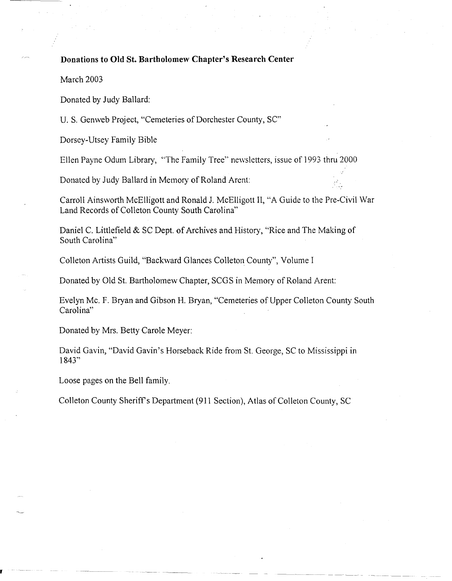# **Donations to Old St. Bartholomew Chapter's Research Center**

March 2003

Donated by Judy Ballard:

u. S. Genweb Project, "Cemeteries of Dorchester County, SC"

Dorsey-Utsey Family Bible

Ellen Payne Odum Library, "The Family Tree" newsletters, issue of 1993 thm 2000

Donated by Judy Ballard in Memory of Roland Arent:

Carroll Ainsworth McElligott and Ronald J. McElligott II, "A Guide to the Pre-Civil War Land Records of Colleton County South Carolina"

Daniel C. Littlefield & SC Dept. of Archives and History, "Rice and The Making of South Carolina"

Colleton Artists Guild, "Backward Glances Colleton County", Volume I

Donated by Old St. Bartholomew Chapter, SCGS in Memory of Roland Arent:

Evelyn Mc. F. Bryan and Gibson H. Bryan, "Cemeteries of Upper Colleton County South Carolina"

Donated by Mrs. Betty Carole Meyer:

David Gavin, "David Gavin's Horseback Ride from St. George, SC to Mississippi in 1843"

Loose pages on the Bell family.

Colleton County Sheriff's Department (911 Section), Atlas of Colleton County, SC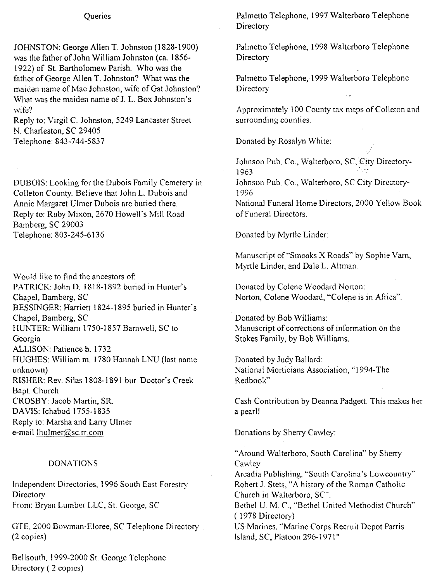## **Queries**

JOHNSTON: George Allen T. Johnston (1828-1900) was the father of John William Johnston (ca. 1856- 1922) of St. Bartholomew Parish. Who was the father of George Allen T. Johnston? What was the maiden name of Mae Johnston, wife of Gat Johnston? What was the maiden name of 1. L. Box Johnston's wife?

Reply to: Virgil C. Johnston, 5249 Lancaster Street N. Charleston, SC 29405 Telephone: 843-744-5837

DUBOIS: Looking for the Dubois Family Cemetery in Colleton County. Believe that John L. Dubois and Annie Margaret Ulmer Dubois are buried there. Reply to: Ruby Mixon, 2670 Howell's Mill Road Bamberg, SC 29003 Telephone: 803-245-6136

Would like to find the ancestors of: PATRICK: John D. 1818-1892 buried in Hunter's Chapel, Bamberg, SC BESSINGER: Harriett 1824-1895 buried in Hunter's Chapel, Bamberg, SC HUNTER: William 1750-1857 Barnwell, SC to Georgia ALLlSON: Patience b. 1732 HUGHES: William m. 1780 Hannah LNU (last name unknown) RISHER: Rev. Silas 1808-1891 bur. Doctor's Creek Bapt. Church CROSBY: Jacob Martin, SR DAVIS: Ichabod 1755-1835 Reply to: Marsha and Larry Ulmer e-mail lhulmer@sc.rr.com

## DONATIONS

Independent Directories, 1996 South East Forestry Directory From: Bryan Lumber LLC, St. George, SC

GTE, 2000 Bowman-Eloree, SC Telephone Directory (2 copies)

Bellsouth, 1999-2000 St. George Telephone Directory ( 2 copies)

Palmetto Telephone, 1997 Walterboro Telephone **Directory** 

Palmetto Telephone, 1998 Walterboro Telephone **Directory** 

Palmetto Telephone, 1999 Walterboro Telephone **Directory** 

Approximately 100 County tax maps of Colleton and surrounding counties.

Donated by Rosalyn White

Johnson Pub. Co., Walterboro, SC, City Directory-1963

Johnson Pub. Co., Walterboro, SC City Directory-1996

National Funeral Home Directors, 2000 Yellow Book of Funeral Directors.

Donated by Myrtle Linder:

Manuscript of "Smoaks X Roads" by Sophie Yarn, Myrtle Linder, and Dale L. Altman.

Donated by Colene Woodard Norton: Norton, Colene Woodard, "Colene is in Africa".

Donated by Bob Williams: Manuscript of corrections of information on the Stokes Family, by Bob Williams.

Donated by Judy Ballard: National Morticians Association, "1994-The Redbook"

Cash Contribution by Deanna Padgett. This makes her a pearl!

Donations by Sherry Cawley:

"Around Walterboro, South Carolina" by Sherry **Cawley** 

Arcadia Publishing, "South Carolina's Lowcountry" Robert 1. Stets, "A history of the Roman Catholic Church in Walterboro, SC".

Bethel U. M. C., "Bethel United Methodist Church" ( 1978 Directory)

US Marines, "Marine Corps Recruit Depot Parris Island, SC, Platoon 296-1971"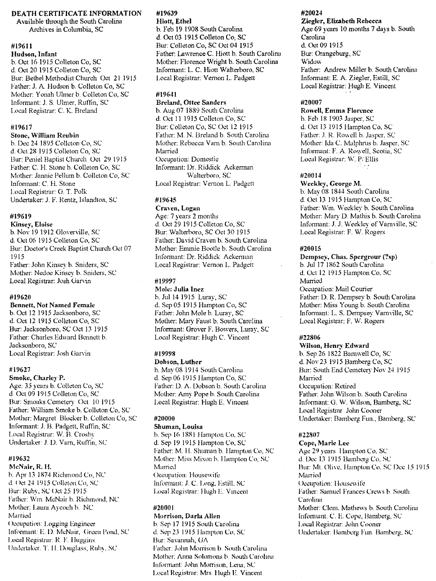#### DEATH CERTIFICATE INFORMATION

Available through the South Carolina Archives in Columbia, SC

#### #19611

Hudson, Infant b. Oct 16 1915 Colleton Co, SC d. Oct 20 1915 Colleton Co, SC Bur: Bethel Methodist Church Oct 21 1915 Father: J. A. Hudson b. Colleton Co, SC Mother: Yonah Ulmer b. Colleton Co, SC Informant: J. S. Ulmer, Ruffin, SC Local Registrar: C. K. Breland

#### #19617

#### Stone, William Reubin

b. Dec 24 1895 Collcton Co, SC d. Oct 28 1915 Colleton Co, SC Bur: Peniel Baptist Church Oct 29 1915 Father: C. H. Stone b. Colleton Co, SC Mother: Jannie Pellum b. Colleton Co, SC Informant: C. H. Stone Local Registrar: G. T. Polk Undertaker: J. F. Rentz, Islandton, SC

#### #19619

Kinsey, Eloise b. Nov 191912 Glovenille, SC d. Oct 06 1915 Colleton Co, SC Bur: Doctor's Creek Baptist Church Oct 07 1915 Father: John Kinsey b. Sniders, SC Mother: Nedoe Kinscy b. Sniders, SC Local Registrar: Josh Garvin

#### #19620

## Bennett, Not Named Female

b. Oct 12 1915 Jacksonboro, SC d. Oct 12 1915 Colleton Co, SC Bur: Jacksonboro, SC Oct 13 1915 Father: Charles Edward Bennett b. Jacksonboro, SC Local Registrar: Josh Garvin

#### #19627

Smoke, Charley P.

Age: 35 years b. Co1leton Co, SC d. Oct 09 1915 Colleton Co, SC Bur: Smoaks Cemetery Oct 10 1915 Father: William Smoke b. Colleton Co, SC Mother: Margret Blocker b. Co1leton *Co,* SC Informant: J. B. Padgett, Ruflin, SC Local Registrar: W. B. Crosby Undertaker: J. D. Varn, Ruffin, SC

#### #19632

McNair, R. H.

b. Apr 13 1874 Richmond Co, NC d. Oct 24 1915 Colleton Co, SC Bur: Ruby, SC Oct 25 1915 Father: Wm. McNair b. Richmond, NC Mother: Laura Aycoch b. NC Married Occupation: Logging Engineer Informant: E. D. McNair, Green Pond, SC Local Registrar: R. F. Huggins Undertaker: T. H. Douglass, Ruby, SC

# #19639

Hiott, Ethel b. Feb 19 1908 South Carolina d. Oct 03 1915 Colleton Co, SC Bur: Colleton Co, SC Oct 04 1915 Father: Lawrence C. Hiott b. South Carolina Mother: Florence Wright b. South Carolina Informant: 1. C. Hiott Walterboro, SC Local Registrar: Vemon L. Padgett

#### #196-11

Breland, Ottee Sanders b. Aug 07 1889 South Carolina d. Oct 11 1915 Colleton Co, SC Bur: Colleton Co, SC Oct 12 1915 Father: M. N. Breland b. South Carolina Mother: Rebecca Varn b. South Carolina Married Occupation: Domestic Informant: Dr. Riddick Ackerman Walterboro, SC Local Registrar: Vernon L. Padgctt

#### #19645

## Craven, Logan

Age: 7 years 2 months d. Oct 29 1915 Colleton Co, SC Bur: Walterboro, SC Oct 301915 Father: David Craven b. South Carolina Mother: Emmie BootIe b. South Carolina Infonnant: Dr. Riddick Ackennan Local Registrar: Vernon L. Padgett

#### #19997

Mole: Julia Inez b. Jul14 1915 Luray, SC d. Sep 051915 Hampton Co, SC Father: John Mole b. Luray, SC Mother: Mary Faust b. South Carolina Informant: Grover F. Bowers, Luray, SC Local Registrar: Hugh C. Vincent

## #19998

Dobson, Luther b. May 08 1914 South Carolina d. Sep 06 1915 Hampton Co, SC Father: D. A. Dobson b. South Carolina Mother: Amy Pope b. South Carolina Local Registrar: Hugh E. Vincent

## #20000

## Shuman, Louisa

h. Sep 16 1881 Hampton Co, SC d. Sep 19 1915 Hampton Co, SC Father: M. H. Shuman b. Hampton Co, SC Mother: Miss Mixon b. Ilampton Co, SC Married Occupation: Houscwilc Informant: J. C. Long, Estill. SC Local Registrar: Hugh L. Vmcent

#### #20001

Morrison, Darla Allen b. Sep ]7 1915 South Carolina d. Sep 23 1915 Hampton Co. SC Bur: Savannah, GA Father: John Morrison b. South Carolina Mother: Anna Solomons b. South Carolina Informant: John Morrison, Lena, SC Loea! Registrar: Mrs. Hugh E. Vincent

## #20024

Ziegler, Elizabeth Rebecca Age 69 years 10 months 7 days b. South Carolina d. Oct 091915 Bur: Orangeburg, SC Widow Father: Andrew Miller b. South Carolina Informant: E. A. Ziegler, Estill, SC Local Registrar: Hugh E. Vincent

#### #20007

#### Rowell, Emma Florence

h. Feb 18 1903 Jasper, SC d. Oct 13 1915 Hampton Co, SC Father: J. R. Rowell b. Jasper. SC Mother: Ida C. Malphrus b. Jasper, SC Informant: F. A. Rowell, Scotia, SC Local Registrar: W. P; Ellis

#### #20014

#### Weekley, George M.

b. May 08 1844 South Carolina d. Oct 13 1915 Hampton Co, SC Father: Wm. Weekley h. South Carolina Mother: Mary D. Mathis b. South Carolina Infonnant:.J. J. Weekley of Varnville, SC Local Registrar: F. W. Rogers

#### #20015

#### Dempsey, Chas. Spergrour (?sp)

h. Jul 17 1862 South Carolina d. Oct 12 1915 Hampton Co, SC Married Occupation: Mail Courier Father: D. R. Dempsey b. South Carolina Mother: Miss Young b. South Carolina

Informant: L. S. Dempsey Varn\ille, SC Local Registrar: F. W. Rogers

#### #22806

#### Wilson, Henry Edward

b. Sep 26 1822 Barnwell Co, SC d. Nov 23 1915 Bamberg Co, SC Bur: South End Cemetery Nov 24 1915 Married Occupation: Retired Father: John Wilson b. South Carolina Infonnant: G. W. Wilson, Bamberg, SC Local Registrar John Cooner Undertaker: Bamberg Fun., Bamberg, SC

#### #22S07

Cope, Marie Lee Age 29 years Hampton Co, SC d. Dec 13 1915 Bamberg Co, SC Bur: Mt. Olive. Hampton Co, SC Dec 15 1915 Marricd Occupation: Housewife Father: Samuel Frances Crews b. South **Carolina** Mother: Clem. Mathews b. South Carolina Informant: C. E. Cope, Bamberg, SC Local Registrar: John Cooner Undertaker: Bamberg Fun. Bamberg, SC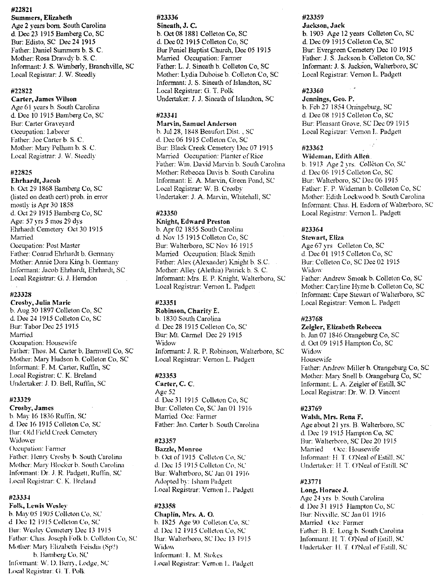## #22821

Summers, Elizabeth Age 2 years born. South Carolina d. Dee 23 1915 Bamberg Co, SC Bur: Edisto, SC Dee 24 1915 Father: Daniel Summers b. S. C. Mother: Rosa Drawdy b. S. C. Informant: J. S. Wimberly, Branchville, SC Local Registrar: J. W. Steedly

#### #22822

#### Carter, James \Vilson

Age 61 years b. South Carolina d. Dee 10 1915 Bamberg Co, SC Bur: Carter Gravevard Occupation: Laborer Father: Joe Carter b. S. C. Mother: Mary Pelham b. S. C. Loca] Registrar: J. W. Steedly

## #22825

Ehrhardt, Jacob b. Oct 291868 Bamberg Co, SC (listed on death cert) prob. in error mostly is Apr 30 1858 d. Oct 291915 Bamberg Co, SC Age: 57 yrs 5 mos 29 dys Ehrhardt Cemetery Oct 30 1915 Manied Occupation: Post Master Father: Conrad Ehrhardt b. Germany Mother: Annie Dora King b. Germany Informant: Jacob Ehrhardt, Ehrhardt, SC Local Registrar: G. J. Herndon

#### #23328

#### Crosby, Julia Marie b. Aug 301897 Colleton Co, SC d. Dee 241915 Colleton Co, SC Bur: Tabor Dee 25 1915 Manied Occupation: Housewife Father: Thos. M. Carter b. Barnwell Co, SC Mother: Mary Hudson b. Colleton Co, SC Informant: F. M. Carter, Ruffin, SC Local Registrar: C. K. Breland Undertaker: J. D. Bell, Ruflin, SC

#### #23329

Crosb~', James

b. May 16 1836 Ruftin, SC d. Dee 16 1915 Colleton Co, SC Bur: Old Field Creek Cemetery **Widower** Occupation: Farmer Father: Ilemy Crosby b. South Carolina Mother: Mary Blocker h. South Carolina Informant: Dr. J. R. Padgett, Ruffin, SC Local Registrar: C. K. Breland

#### #2333~

Folk, Lewis Wesley h. May 05 1905 Colleton Co. SC

d. Dec 12 1915 Colleton Co, SC Bur Wesley Cemetery Dee 13 1915 Father: Chas. Joseph Folk b. Culleton Co, SC Mother: Mary Elizabeth Feisdia (Sp?) h. Bamberg Co, SC Informant: W. D. Berry, Lodge, SC Local Registrar: G. T. Polk

## #23336

Sineath, J. C. b. Oct 08 1881 Colleton Co, SC d. Dec 02 1915 Colleton Co, SC Bur Peniel Baptist Church, Dee 05 1915 Manied Occupation: Farmer Father: L. J. Sineath b. Colleton Co, SC Mother: Lydia Duboise b. Colleton Co, SC Informant, J. S. Sineath of Islandton, SC Local Registrar: G. T. Polk Undertaker: J. J. Sineath of Islandton, SC

## #23341

#### Man·in, Samuel Anderson

b. Jul 28, 1848 Beaufort Disl , SC d. Dec 06 1915 Colleton Co, SC Bur: Black Creek Cemetery Dec 07 1915 Manied Occupation: Planter of Rice Father: Wm. David Marvin b. South Carolina Mother: Rebecca Davis b. South Carolina Informant: E. A. Marvin, Green Pond, SC Local Registrar: W. B. Crosby Undertaker: J. A. Marvin, Whitehall, SC

## #23350

## Knight, Edward Preston b. Apr 02 1855 South Carolina

d. Nov 15 1915 Colleton Co, SC Bur: Walterboro, SC Nov 16 1915 Manied Occupation: Black Smith Father: Alex (Alexander) Knight b. S.C. Mother: Alley (Alethia) Patrick b S. C. Informant: Mrs. E. P. Knight, Walterboro, SC Local Registrar: Vernon L. Padgett

#### #23351

Robinson, Charity E. b. 1830 South Carolina d. Dee 28 1915 Colleton Co, SC Bur: Mt. Carmel Dec 291915 Widow Informant: J. R. P. Robinson, Walterboro, SC Local Registrar: Vernon L. Padgett

#### #23353

Carter, C. C. Age 52 d. Dee 31 1915 Colleton Co, SC Bur: Colleton Co, SC Jan 01 1916 Married Oec: Farmer Father: Jno. Carter b. South Carolina

#### #23357

Bazzle, Monroe b. Oct of 1915 Collcton Co, SC d. Dee 151915 Collcton Co, SC Bur: Walterboro, SC Jan 01 1916 Adopted by: Isham Padgett Local Registrar: Vernon 1.. Padgett

#### #23358

#### Chaplin, Mrs. A. O. b. 1825 Age 90 Colleton Co, SC d. Dee 12 1915 Colleton Co, SC Bur: Walterboro, SC Dee 13 1915 Widow Informant: 1.. M. Stokes Local Registrar: Vernon L. Padgett

### #23359

Jackson, Jaek b. 1903 Age 12 years Colleton Co, SC d. Dec 09 1915 Colleton Co, SC Bur: Evergreen Cemetery Dec 10 1915 Father: J. S. Jackson b. Colleton Co, SC Informant: J. S. Jackson, Walterboro, SC Local Registrar: Vernon L. Padgett

#### #23360

#### Jennings, Geo. P.

b. Feb27 1854 Orangeburg, SC d. Dec 08 1915 Colleton Co, SC Bur: Pleasant Grove. SC Dee 09 1915 Local Registrar: Vernon L. Padgett

#### #23362

#### Wideman, Edith Allen.

b. 1913 Age 2 yrs. Colléton Co, SC d. Dec 06 1915 Colleton Co, SC Bur: Walterboro, SC Dee 061915 Father: F. P. Wideman b. Colleton Co, SC Mother: Edith Lockwood b. South Carolina Informant: Chas. H. Esdom of Walterboro, SC Local Registrar: Vernon L. Padgett

#### #23364

#### Stewart, Eliza

Age 67 vrs Colleton Co, SC d. Dee 01 1915 Colleton Co, SC Bur: Colleton Co, SC Dee 02 1915 Widow<sup>-</sup> Father: Andrew Smoak b. Colleton Co, SC Mother: Carvline Hyme b. Colleton Co, SC Informant: Cape Stewart of Walterboro, SC Local Registrar: Vernon L. Padgett

#### #23768

#### Zeigler, Elizabeth Rebecca

b. Jan 07 1846 Orangeburg Co, SC d. Oct 09 1915 Hampton Co, SC Widow Housewife Father: Andrew Miller b. Orangeburg Co, SC Mother: Mary Snell b. Orangeburg Co, SC Infonnant: L. A. Zeigler of Estill, SC Local Registrar: Dr. W. D. Vincent

#### #23769

#### Walsh, Mrs. Rena F.

Age about 21 yrs. B. Walterboro, SC d. Dec 19 1915 Hampton Co, SC Bur: Walterboro, SC Dee 20 1915 Married (bee: Housewife Informant: II T O'Neal of Estill. SC Undertaker: H. T. O'Neal of Estill, SC

#### #23771

Long, Horace J. Age 24 yrs b. South Carolina d. Dee 31 1915 Hampton Co, SC Bur: Nix\ilk. SC Jan 01 1916 Married (Occ: Farmer Father: B. E Long b. South Carolina lnfonnanl: 11.1".O'Neal of Estill, SC Undertaker: H. T. O'Neal of Estill, SC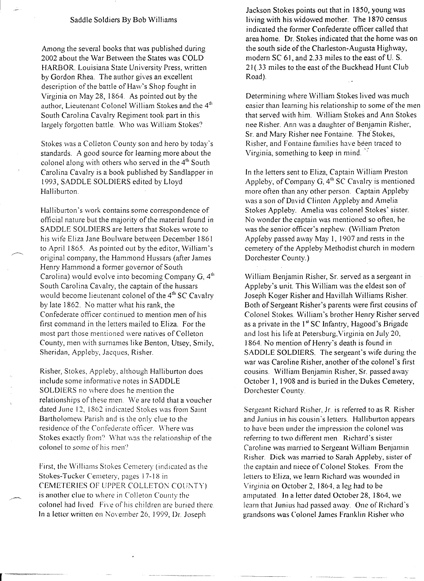## Saddle Soldiers By Bob Williams

Among the several books that was published during 2002 about the War Between the States was COLD HARBOR. Louisiana State University Press, written by Gordon Rhea. The author gives an excellent description of the battle of Haw's Shop fought in Virginia on May 28, 1864 As pointed out by the author, Lieutenant Colonel William Stokes and the 4<sup>th</sup> South Carolina Cavalry Regiment took part in this largely forgotten battle. Who was William Stokes')

Stokes was a Colleton County son and hero by today's standards. A good source for learning more about the colonel along with others who served in the 4<sup>th</sup> South Carolina Cavalry is a book published by Sandlapper in 1993, SADDLE SOLDIERS edited by Lloyd Halliburton.

Halliburton's work contains some correspondence of official nature but the majority of the material found in SADDLE SOLDIERS are letters that Stokes wrote to *his* wife Eliza Jane Boulware between December 1861 to April 1865. As pointed out by the editor, William's original company, the Hammond Hussars (after James Henry Hammond a former governor of South Carolina) would evolve into becoming Company  $G$ ,  $4<sup>th</sup>$ South Carolina Cavalry, the captain of the hussars would become lieutenant colonel of the  $4<sup>th</sup>$  SC Cavalry by late 1862. No matter what his rank, the Confederate officer continued to mention men of his first command in the letters mailed to Eliza. For the most part those mentioned were natives of ColIeton County, men with surnames like Benton, Utsey, Smily, Sheridan, Appleby, Jacques, Risher.

Risher, Stokes, Appleby, although Halliburton does include some informative notes in SADDLE SOLDIERS no where does he mention the relationships of these men. We are told that a voucher dated June 12, 1862 indicated Stokes was from Samt Bartholomew Parish and is the only clue to the residence of the Confederate officer. Where was Stokes exactly from? What was the relationship of the colonel to some of his men?

First, the Williams Stokes Cemetery (indicated as the Stokes-Tucker Cemetery, pages 17-18 in CEMETERIES OF UPPER COLLETON COUNTY) is another clue to where in Colleton County the colonel had lived. Five of his children are buried there. In a letter written on November 26, 1999, Dr. Joseph

Jackson Stokes points out that in 1850, young was living with his widowed mother. The 1870 census indicated the former Confederate officer called that area home. Dr. Stokes indicated that the home was on the south side of the Charleston-Augusta Highway, modern SC 61, and 2.33 miles to the east of U. S. 21 (33 miles to the east of the Buckhead Hunt Club Road).

Determining where William Stokes lived was much easier than learning his relationship to some of the men that served with him. William Stokes and Ann Stokes nee Risher. Ann was a daughter of Benjamin Risher, Sr. and Mary Risher nee Fontaine. The' Stokes, Risher, and Fontaine families have been traced to Virginia, something to keep in mind.':

In the letters sent to Eliza, Captain William Preston Appleby, of Company G,  $4<sup>th</sup>$  SC Cavalry is mentioned more often than any other person. Captain Appleby was a son of David Clinton Appleby and Amelia Stokes Appleby. *Amelia* was colonel Stokes' sister. No wonder the captain was mentioned so often, he was the senior officer's nephew. (William Preton Appleby passed away May 1, 1907 and rests in the cemetery of the Appleby Methodist church in modern Dorchester County.)

William Benjamin Risher, Sr. served as a sergeant in Appleby's unit. This William was the eldest son of Joseph Koger Risher and Havillah Williams Risher. Both of Sergeant Risher's parents were first cousins of Colonel Stokes. William's brother Henry Risher served as a private in the 1<sup>st</sup> SC Infantry, Hagood's Brigade and lost his life at Petersburg,Virginia on July20, 1864. No mention of Henry's death is found in SADDLE SOLDIERS. The sergeant's wife during the war was Caroline Risher, another of the colonel's first cousins. William Benjamin Risher, Sr. passed away October 1, 1908 and is buried in the Dukes Cemetery, Dorchester County

Sergeant Richard Risher, Jr. is referred to as R. Risher and Junius in his cousin's letters. Halliburton appears to have been under the impression the colonel was referring to two different men. Richard's sister Caroline was married to Sergeant William Benjamin Risher Dick was married to Sarah Appleby, sister of the captain and niece of Colonel Stokes. From the letters to Eliza, we learn Richard was wounded in Virginia on October 2, 1864, a leg had to be amputated. In a letter dated October 28, 1864, we learn that Junius had passed away. One of Richard's grandsons was Colonel James Franklin Risher who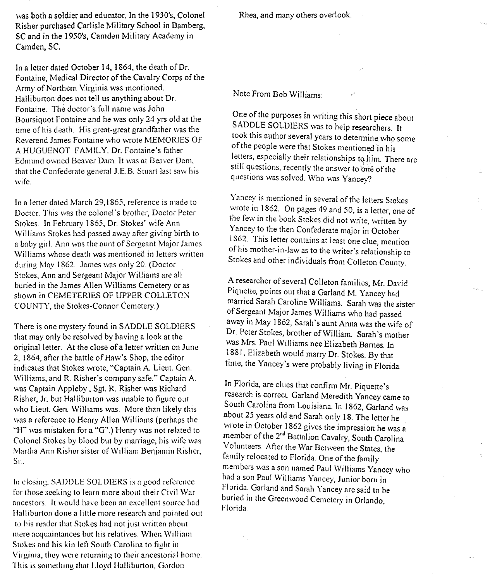was both a soldier and educator. In the 1930's, Colonel Risher purchased Carlisle Military School in Bamberg, SC and in the 1950's, Camden Military Academy in Camden, Sc.

In a letter dated October 14, 1864, the death of Dr. Fontaine, Medical Director of the Cavalry Corps of the Army of Northern Virginia was mentioned. Halliburton does not tell us anything about Dr. Fontaine. The doctor's full name was John Boursiquot Fontaine and he was only 24 yrs old at the time of his death. His great-great grandfather was the Reverend James Fontaine who wrote MEMORIES OF. A HUGUENOT FAMILY. Dr. Fontaine's father Edmund owned Beaver Dam. It was at Beaver Dam, that the Confederate general J.E.B. Stuart last saw his wife.

In a letter dated March 29,1865, reference is made to Doctor. This was the colonel's brother, Doctor Peter Stokes. In February 1865, Dr. Stokes' wife Ann \Villiams Stokes had passed away after giving birth to a baby girl. Ann was the aunt of Sergeant Major James Williams whose death was mentioned in letters written during May 1862. James was only 20. (Doctor Stokes, Ann and Sergeant Major Williams are all buried in the James Allen Williams Cemetery or as shown in CEMETERIES OF UPPER COLLETON COUNTY, the Stokes-Connor Cemetery.)

There is one mystery found in SADDLE SOLDIERS that may only be resolved by having a look at the original letter. At the close of a letter written on June 2, 1864, after the battle of Haw's Shop, the editor indicates that Stokes wrote, "Captain A. Lieut. Gen. Williams, and R. Risher's company safe." Captain A. was Captain Appleby, Sgt. R. Risher was Richard Risher, Jr. but Halliburton was unable to figure out who Lieut. Gen. Williams was. More than likely this was a reference to Henry Allen Williams (perhaps the "H" was mistaken for a "G".) Henry was not related to Colonel Stokes by blood but by marriage, his wife was Martha Ann Risher sister of William Benjamin Risher, Sr .

In closing. SADDLE SOLDIERS is a good reference for those seeking to learn more about their Civil War ancestors. It would have been an excellent source had Halliburton done a little more research and pointed out to his reader that Stokes had not just written about mere acquaintances but his relatives. When William Stokes and his kin left South Carolina to fight in Virginia, they were returning to their ancestorial horne. This is something that Lloyd Halliburton, Gordon

Rhea, and many others overlook.

## Note From Bob Williams:

One of the purposes in writing this short piece about SADDLE SOLDIERS was to help researchers. It took this author several years to determine who some of the people were that Stokes mentioned in his letters, especially their relationships to him. There are still questions, recently the answer to one of the questions was solved. Who was Yancey?

Yancey is mentioned in several of the letters Stokes wrote in 1862. On pages 49 and 50, is a letter, one of the few in the book Stokes did not write, written by  $t^2$  few form the book Stokes did not write, written by r ancey to the then Confederate major in October 1862. This letter contains at least one clue, mention of his mother-in-law as to the writer's relationship to Stokes and other individuals from Colleton County.

A researcher of several Colleton families, Mr. David Piquette, points out that a Garland M. Yancey had marned Sarah Caroline Williams. Sarah was the sister of Sergeant Major James Williams who had passed away in May 1862, Sarah's aunt Anna was the wife of Dr. Peter Stokes, brother of William. Sarah's mother was Mrs. Paul Williams nee Elizabeth Barnes. In 1.88I, Elizabeth would marry Dr. Stokes. By that time, the Yancey's were probably living in Florida.

In Florida, are clues that confirm Mr. Piquette's research is correct. Garland Meredith Yancey came to South Carolina from Louisiana. In 1862, Garland was about 25 years old and Sarah only 18. The letter he wrote in October 1862 gives the impression he was a member of the  $2<sup>nd</sup>$  Battalion Cavalry, South Carolina ~ember of the 2nd Battalion Cavalry, South Carolina \ ol~lI1teers.After the War Between the States, the family relocated to Florida. One of the family members was a son named Paul Williams Yancey who had a son Paul Williams Yancey, Junior born in Florida. Garland and Sarah Yancey are said to be buried in the Greenwood Cemetery in Orlando, Florida.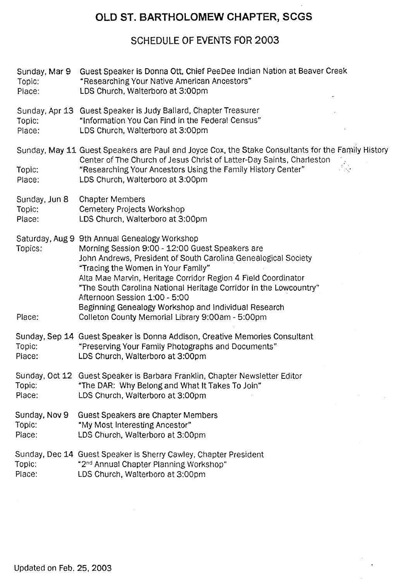# **OLD ST. BARTHOLOMEW CHAPTER, SCGS**

# **SCHEDULE OF EVENTS FOR 2003**

| Sunday, Mar 9<br>Topic:<br>Place: | Guest Speaker is Donna Ott, Chief PeeDee Indian Nation at Beaver Creek<br>"Researching Your Native American Ancestors"<br>LDS Church, Walterboro at 3:00pm                                                                                                                                                                                                                                                                                                                                  |
|-----------------------------------|---------------------------------------------------------------------------------------------------------------------------------------------------------------------------------------------------------------------------------------------------------------------------------------------------------------------------------------------------------------------------------------------------------------------------------------------------------------------------------------------|
| Topic:<br>Place:                  | Sunday, Apr 13 Guest Speaker is Judy Ballard, Chapter Treasurer<br>"Information You Can Find in the Federal Census"<br>LDS Church, Walterboro at 3:00pm                                                                                                                                                                                                                                                                                                                                     |
| Topic:<br>Place:                  | Sunday, May 11 Guest Speakers are Paul and Joyce Cox, the Stake Consultants for the Family History<br>Center of The Church of Jesus Christ of Latter-Day Saints, Charleston<br>$\frac{1}{2}$<br>"Researching Your Ancestors Using the Family History Center"<br>LDS Church, Walterboro at 3:00pm                                                                                                                                                                                            |
| Sunday, Jun 8<br>Topic:<br>Place: | <b>Chapter Members</b><br>Cemetery Projects Workshop<br>LDS Church, Walterboro at 3:00pm                                                                                                                                                                                                                                                                                                                                                                                                    |
| Topics:<br>Place:                 | Saturday, Aug 9 9th Annual Genealogy Workshop<br>Morning Session 9:00 - 12:00 Guest Speakers are<br>John Andrews, President of South Carolina Genealogical Society<br>"Tracing the Women in Your Family"<br>Alta Mae Marvin, Heritage Corridor Region 4 Field Coordinator<br>"The South Carolina National Heritage Corridor in the Lowcountry"<br>Afternoon Session 1:00 - 5:00<br>Beginning Genealogy Workshop and Individual Research<br>Colleton County Memorial Library 9:00am - 5:00pm |
| Topic:<br>Place:                  | Sunday, Sep 14 Guest Speaker is Donna Addison, Creative Memories Consultant<br>"Preserving Your Family Photographs and Documents"<br>LDS Church, Walterboro at 3:00pm                                                                                                                                                                                                                                                                                                                       |
| Topic:<br>Place:                  | Sunday, Oct 12 Guest Speaker is Barbara Franklin, Chapter Newsletter Editor<br>"The DAR: Why Belong and What It Takes To Join"<br>LDS Church, Walterboro at 3:00pm                                                                                                                                                                                                                                                                                                                          |
| Sunday, Nov 9<br>Topic:<br>Place: | <b>Guest Speakers are Chapter Members</b><br>"My Most Interesting Ancestor"<br>LDS Church, Walterboro at 3:00pm                                                                                                                                                                                                                                                                                                                                                                             |
| Topic:<br>Place:                  | Sunday, Dec 14 Guest Speaker is Sherry Cawley, Chapter President<br>"2 <sup>nd</sup> Annual Chapter Planning Workshop"<br>LDS Church, Walterboro at 3:00pm                                                                                                                                                                                                                                                                                                                                  |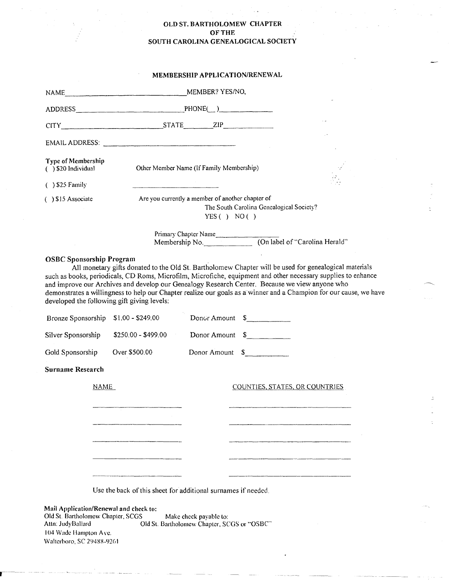# OLD ST. BARTHOLOMEW CHAPTER OFTHE SOUTH CAROLINA GENEALOGICAL SOCIETY

# MEMBERSHIP APPLICATION/RENEWAL

| ADDRESS PHONE()<br>CITY STATE ZIP<br><b>Type of Membership</b><br>Other Member Name (If Family Membership)<br>$( )$ \$20 Individual<br>$( )$ \$25 Family<br>Are you currently a member of another chapter of<br>$( )$ \$15 Associate<br>The South Carolina Genealogical Society?<br>YES() NO()<br>Primary Chapter Name<br>Membership No. (On label of "Carolina Herald"<br><b>OSBC Sponsorship Program</b><br>All monetary gifts donated to the Old St. Bartholomew Chapter will be used for genealogical materials<br>such as books, periodicals, CD Roms, Microfilm, Microfiche, equipment and other necessary supplies to enhance<br>and improve our Archives and develop our Genealogy Research Center. Because we view anyone who<br>demonstrates a willingness to help our Chapter realize our goals as a winner and a Champion for our cause, we have<br>developed the following gift giving levels: |                 |  |
|-------------------------------------------------------------------------------------------------------------------------------------------------------------------------------------------------------------------------------------------------------------------------------------------------------------------------------------------------------------------------------------------------------------------------------------------------------------------------------------------------------------------------------------------------------------------------------------------------------------------------------------------------------------------------------------------------------------------------------------------------------------------------------------------------------------------------------------------------------------------------------------------------------------|-----------------|--|
|                                                                                                                                                                                                                                                                                                                                                                                                                                                                                                                                                                                                                                                                                                                                                                                                                                                                                                             |                 |  |
|                                                                                                                                                                                                                                                                                                                                                                                                                                                                                                                                                                                                                                                                                                                                                                                                                                                                                                             |                 |  |
|                                                                                                                                                                                                                                                                                                                                                                                                                                                                                                                                                                                                                                                                                                                                                                                                                                                                                                             |                 |  |
|                                                                                                                                                                                                                                                                                                                                                                                                                                                                                                                                                                                                                                                                                                                                                                                                                                                                                                             |                 |  |
|                                                                                                                                                                                                                                                                                                                                                                                                                                                                                                                                                                                                                                                                                                                                                                                                                                                                                                             |                 |  |
|                                                                                                                                                                                                                                                                                                                                                                                                                                                                                                                                                                                                                                                                                                                                                                                                                                                                                                             |                 |  |
|                                                                                                                                                                                                                                                                                                                                                                                                                                                                                                                                                                                                                                                                                                                                                                                                                                                                                                             |                 |  |
| Bronze Sponsorship \$1.00 - \$249.00<br>Donor Amount \$<br>Silver Sponsorship<br>$$250.00 - $499.00$<br>Donor Amount \$<br>Gold Sponsorship<br>Over \$500.00<br><b>Surname Research</b>                                                                                                                                                                                                                                                                                                                                                                                                                                                                                                                                                                                                                                                                                                                     | Donor Amount \$ |  |
| NAME<br><b>COUNTIES, STATES, OR COUNTRIES</b><br>Use the back of this sheet for additional surnames if needed.<br>Mail Application/Renewal and check to:                                                                                                                                                                                                                                                                                                                                                                                                                                                                                                                                                                                                                                                                                                                                                    |                 |  |

Alln: JudyBallard Old St. Bartholomcw Chapter, SCGS or "OSSC-' 104 Wade Hampton Ave. Walterboro, SC 29488-9261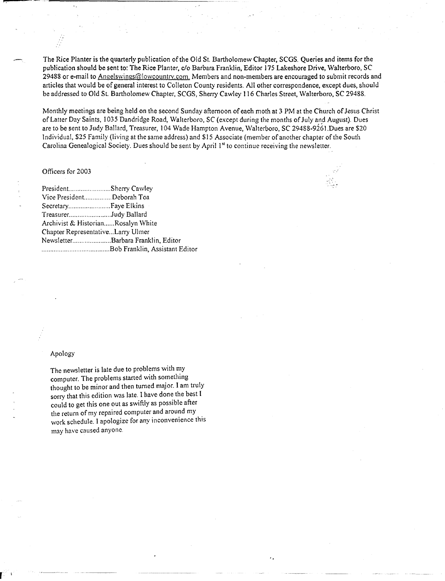The Rice Planter is the quarterly publication of the Old St. Bartholomew Chapter, SCGS. Queries and items for the publication should be sent to: The Rice Planter, c/o Barbara Franklin, Editor) 75 Lakeshore Drive, Walterboro, SC 29488 or e-mail to Angelswings@lowcountry.com. Members and non-members are encouraged to submit records and articles that would be of general interest to Colleton County residents. All other correspondence, except dues, should be addressed to Old St. Bartholomew Chapter, SCGS, Sherry Cawley 116 Charles Street, Walterboro, SC 29488.

Monthly meetings are being held on the second Sunday afternoon of each moth at 3 PM at the Church of Jesus Christ of Latter Day Saints, 1035 Dandridge Road, Walterboro, SC (except during the months of July and August). Dues are to be sent to Judy Ballard, Treasurer, 104 Wade Hampton Avenue, Walterboro, SC 29488-926] .Dues are \$20 Individual, \$25 Family (living at the same address) and \$15 Associate (member of another chapter of the South Carolina Genealogical Society. Dues should be sent by April 1" to continue receiving the newsletter.

,- .~- .~

'.

## Officers for 2003

| PresidentSherry Cawley             |                                    |
|------------------------------------|------------------------------------|
| Vice PresidentDeborah Toa          |                                    |
|                                    |                                    |
| TreasurerJudy Ballard              |                                    |
| Archivist & HistorianRosalyn White |                                    |
| Chapter RepresentativeLarry Ulmer  |                                    |
|                                    | NewsletterBarbara Franklin, Editor |
|                                    |                                    |

## Apology

The newsletter is late due to problems with my computer. The problems started with something thought to be minor and then turned major. Iam truly sorry that this edition was late. I have done the best I couid to get this one out as swiftly as possible after the return of my repaired computer and around my work schedule. I apologize for any inconvenience this may have caused anyone.